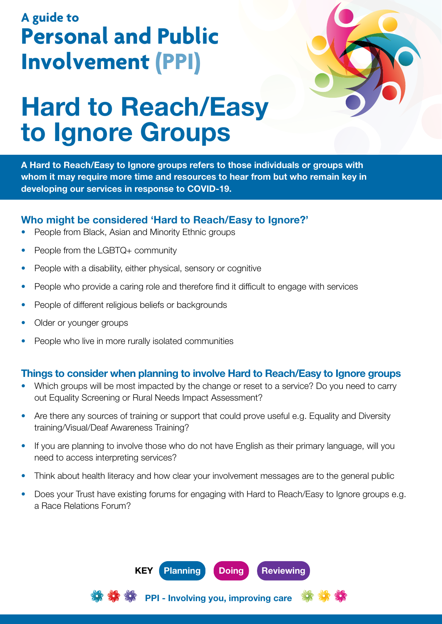## **A guide to Personal and Public Involvement (PPI)**



# Hard to Reach/Easy to Ignore Groups

A Hard to Reach/Easy to Ignore groups refers to those individuals or groups with whom it may require more time and resources to hear from but who remain key in developing our services in response to COVID-19.

#### Who might be considered 'Hard to Reach/Easy to Ignore?'

- People from Black, Asian and Minority Ethnic groups
- People from the LGBTQ+ community
- People with a disability, either physical, sensory or cognitive
- People who provide a caring role and therefore find it difficult to engage with services
- People of different religious beliefs or backgrounds
- Older or younger groups
- People who live in more rurally isolated communities

#### Things to consider when planning to involve Hard to Reach/Easy to Ignore groups

- Which groups will be most impacted by the change or reset to a service? Do you need to carry out Equality Screening or Rural Needs Impact Assessment?
- Are there any sources of training or support that could prove useful e.g. Equality and Diversity training/Visual/Deaf Awareness Training?
- If you are planning to involve those who do not have English as their primary language, will you need to access interpreting services?
- Think about health literacy and how clear your involvement messages are to the general public
- Does your Trust have existing forums for engaging with Hard to Reach/Easy to Ignore groups e.g. a Race Relations Forum?



PPI - Involving you, improving care